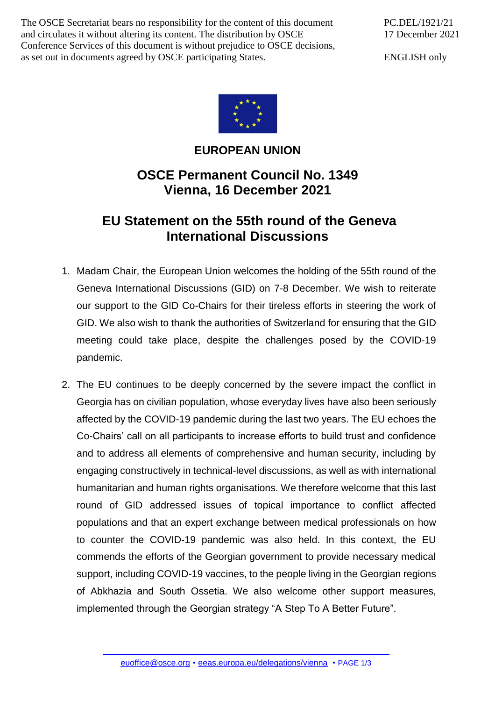The OSCE Secretariat bears no responsibility for the content of this document and circulates it without altering its content. The distribution by OSCE Conference Services of this document is without prejudice to OSCE decisions, as set out in documents agreed by OSCE participating States.

ENGLISH only



## **EUROPEAN UNION**

## **OSCE Permanent Council No. 1349 Vienna, 16 December 2021**

## **EU Statement on the 55th round of the Geneva International Discussions**

- 1. Madam Chair, the European Union welcomes the holding of the 55th round of the Geneva International Discussions (GID) on 7-8 December. We wish to reiterate our support to the GID Co-Chairs for their tireless efforts in steering the work of GID. We also wish to thank the authorities of Switzerland for ensuring that the GID meeting could take place, despite the challenges posed by the COVID-19 pandemic.
- 2. The EU continues to be deeply concerned by the severe impact the conflict in Georgia has on civilian population, whose everyday lives have also been seriously affected by the COVID-19 pandemic during the last two years. The EU echoes the Co-Chairs' call on all participants to increase efforts to build trust and confidence and to address all elements of comprehensive and human security, including by engaging constructively in technical-level discussions, as well as with international humanitarian and human rights organisations. We therefore welcome that this last round of GID addressed issues of topical importance to conflict affected populations and that an expert exchange between medical professionals on how to counter the COVID-19 pandemic was also held. In this context, the EU commends the efforts of the Georgian government to provide necessary medical support, including COVID-19 vaccines, to the people living in the Georgian regions of Abkhazia and South Ossetia. We also welcome other support measures, implemented through the Georgian strategy "A Step To A Better Future".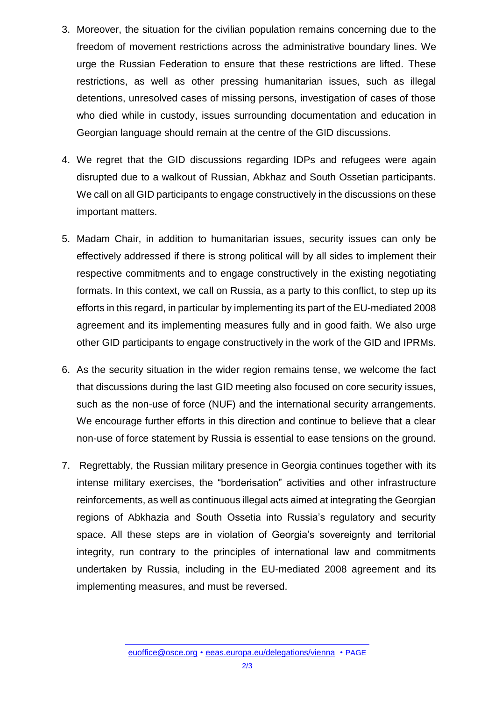- 3. Moreover, the situation for the civilian population remains concerning due to the freedom of movement restrictions across the administrative boundary lines. We urge the Russian Federation to ensure that these restrictions are lifted. These restrictions, as well as other pressing humanitarian issues, such as illegal detentions, unresolved cases of missing persons, investigation of cases of those who died while in custody, issues surrounding documentation and education in Georgian language should remain at the centre of the GID discussions.
- 4. We regret that the GID discussions regarding IDPs and refugees were again disrupted due to a walkout of Russian, Abkhaz and South Ossetian participants. We call on all GID participants to engage constructively in the discussions on these important matters.
- 5. Madam Chair, in addition to humanitarian issues, security issues can only be effectively addressed if there is strong political will by all sides to implement their respective commitments and to engage constructively in the existing negotiating formats. In this context, we call on Russia, as a party to this conflict, to step up its efforts in this regard, in particular by implementing its part of the EU-mediated 2008 agreement and its implementing measures fully and in good faith. We also urge other GID participants to engage constructively in the work of the GID and IPRMs.
- 6. As the security situation in the wider region remains tense, we welcome the fact that discussions during the last GID meeting also focused on core security issues, such as the non-use of force (NUF) and the international security arrangements. We encourage further efforts in this direction and continue to believe that a clear non-use of force statement by Russia is essential to ease tensions on the ground.
- 7. Regrettably, the Russian military presence in Georgia continues together with its intense military exercises, the "borderisation" activities and other infrastructure reinforcements, as well as continuous illegal acts aimed at integrating the Georgian regions of Abkhazia and South Ossetia into Russia's regulatory and security space. All these steps are in violation of Georgia's sovereignty and territorial integrity, run contrary to the principles of international law and commitments undertaken by Russia, including in the EU-mediated 2008 agreement and its implementing measures, and must be reversed.